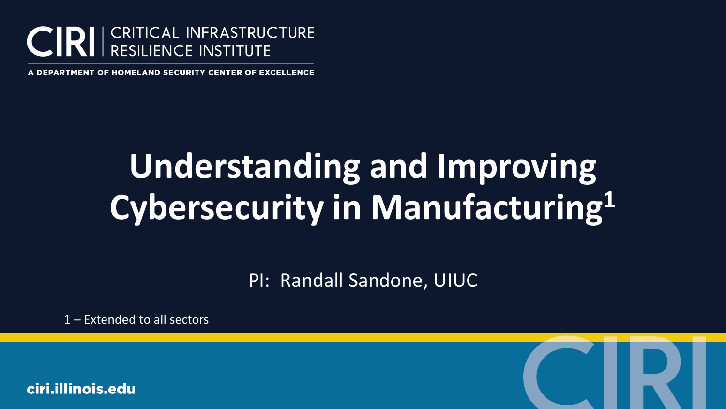

# **Understanding and Improving Cybersecurity in Manufacturing1**

PI: Randall Sandone, UIUC

1 – Extended to all sectors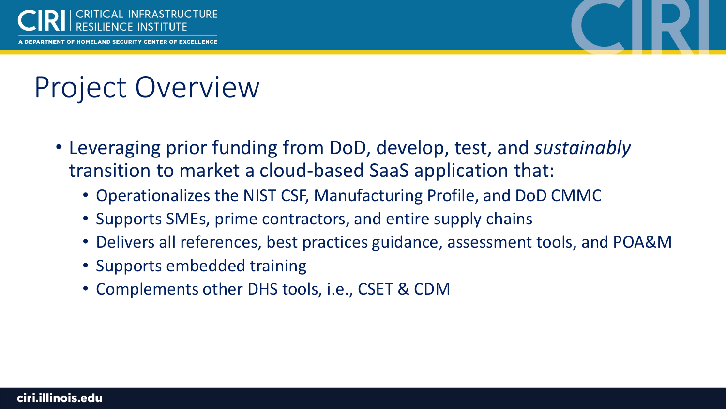



## Project Overview

- Leveraging prior funding from DoD, develop, test, and *sustainably*  transition to market a cloud-based SaaS application that:
	- Operationalizes the NIST CSF, Manufacturing Profile, and DoD CMMC
	- Supports SMEs, prime contractors, and entire supply chains
	- Delivers all references, best practices guidance, assessment tools, and POA&M
	- Supports embedded training
	- Complements other DHS tools, i.e., CSET & CDM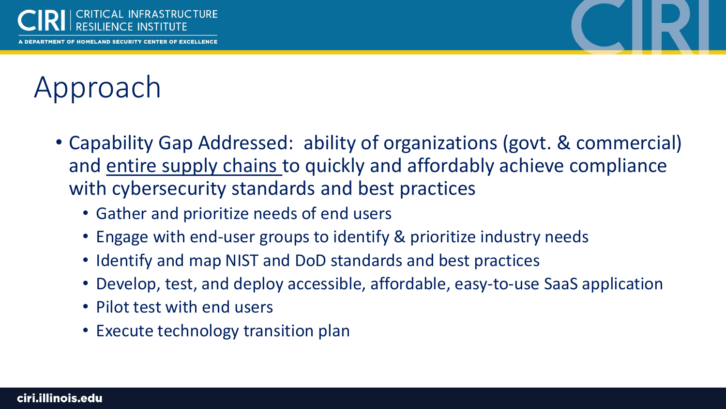



## Approach

- Capability Gap Addressed: ability of organizations (govt. & commercial) and entire supply chains to quickly and affordably achieve compliance with cybersecurity standards and best practices
	- Gather and prioritize needs of end users
	- Engage with end-user groups to identify & prioritize industry needs
	- Identify and map NIST and DoD standards and best practices
	- Develop, test, and deploy accessible, affordable, easy-to-use SaaS application
	- Pilot test with end users
	- Execute technology transition plan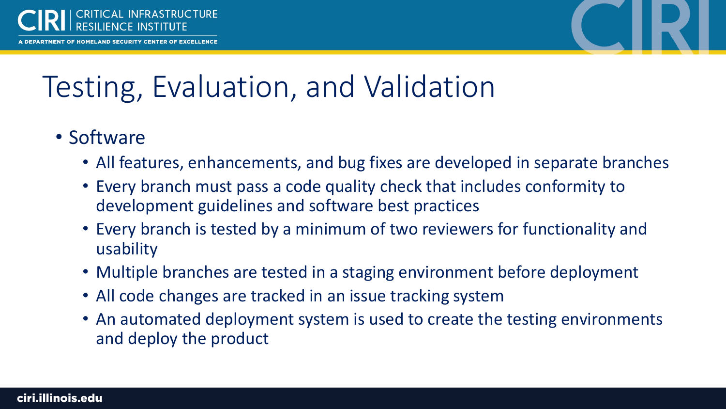

**IENT OF HOMELAND SECURITY CENTER OF EXCELLENCE** 



### Testing, Evaluation, and Validation

### • Software

- All features, enhancements, and bug fixes are developed in separate branches
- Every branch must pass a code quality check that includes conformity to development guidelines and software best practices
- Every branch is tested by a minimum of two reviewers for functionality and usability
- Multiple branches are tested in a staging environment before deployment
- All code changes are tracked in an issue tracking system
- An automated deployment system is used to create the testing environments and deploy the product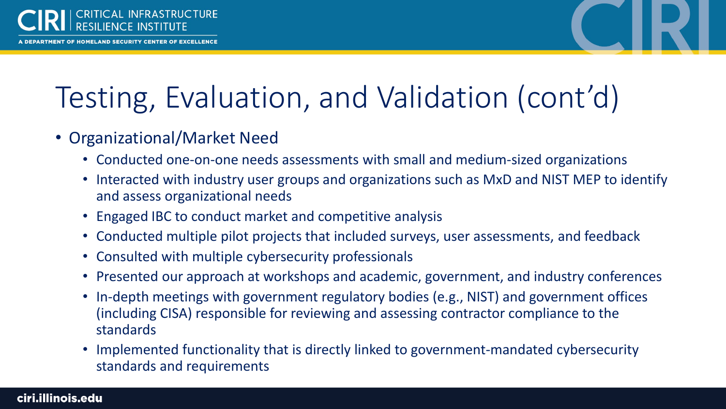

## Testing, Evaluation, and Validation (cont'd)

- Organizational/Market Need
	- Conducted one-on-one needs assessments with small and medium-sized organizations
	- Interacted with industry user groups and organizations such as MxD and NIST MEP to identify and assess organizational needs
	- Engaged IBC to conduct market and competitive analysis
	- Conducted multiple pilot projects that included surveys, user assessments, and feedback
	- Consulted with multiple cybersecurity professionals
	- Presented our approach at workshops and academic, government, and industry conferences
	- In-depth meetings with government regulatory bodies (e.g., NIST) and government offices (including CISA) responsible for reviewing and assessing contractor compliance to the standards
	- Implemented functionality that is directly linked to government-mandated cybersecurity standards and requirements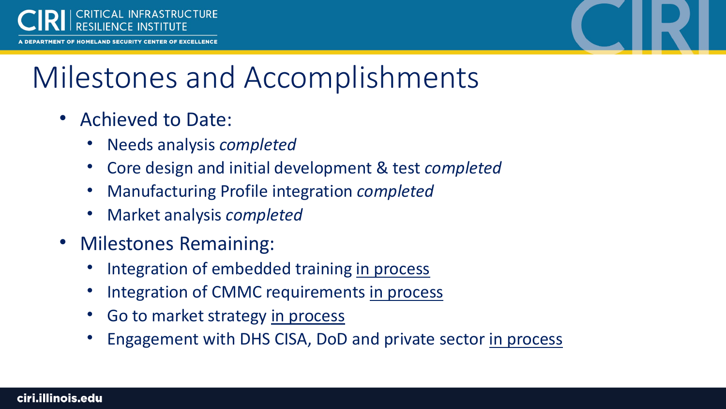



## Milestones and Accomplishments

- Achieved to Date:
	- Needs analysis *completed*
	- Core design and initial development & test *completed*
	- Manufacturing Profile integration *completed*
	- Market analysis *completed*
- Milestones Remaining:
	- Integration of embedded training in process
	- Integration of CMMC requirements in process
	- Go to market strategy in process
	- Engagement with DHS CISA, DoD and private sector in process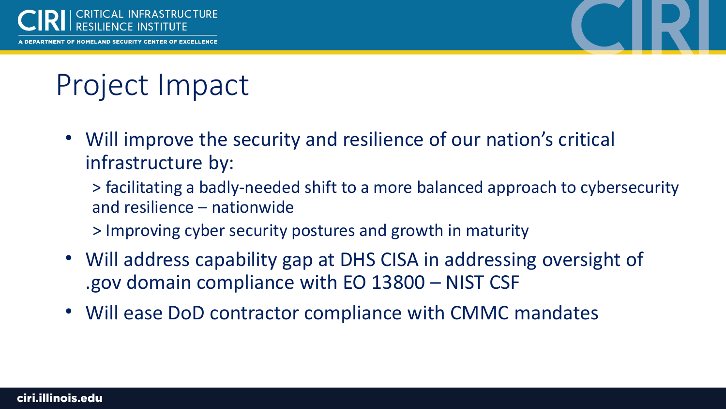

**IENT OF HOMELAND SECURITY CENTER OF EXCELLENCE** 



### Project Impact

• Will improve the security and resilience of our nation's critical infrastructure by:

> facilitating a badly-needed shift to a more balanced approach to cybersecurity and resilience – nationwide

- > Improving cyber security postures and growth in maturity
- Will address capability gap at DHS CISA in addressing oversight of .gov domain compliance with EO 13800 – NIST CSF
- Will ease DoD contractor compliance with CMMC mandates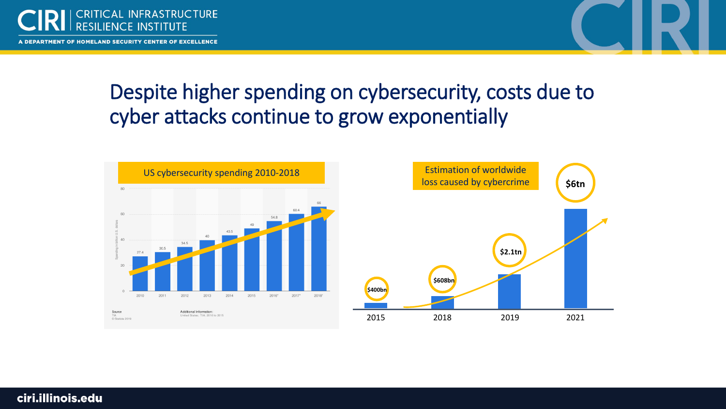

### Despite higher spending on cybersecurity, costs due to cyber attacks continue to grow exponentially



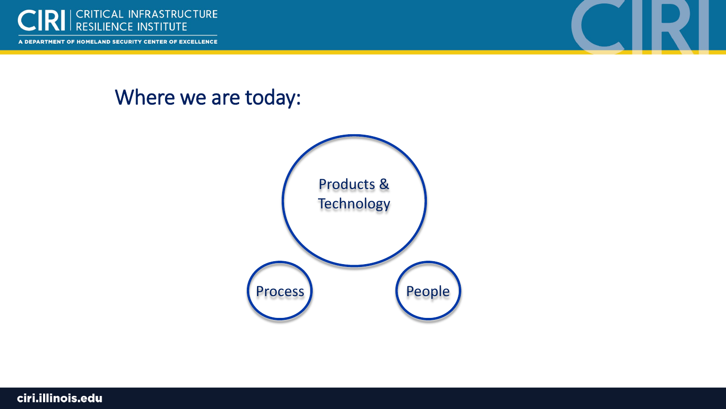

#### Where we are today:



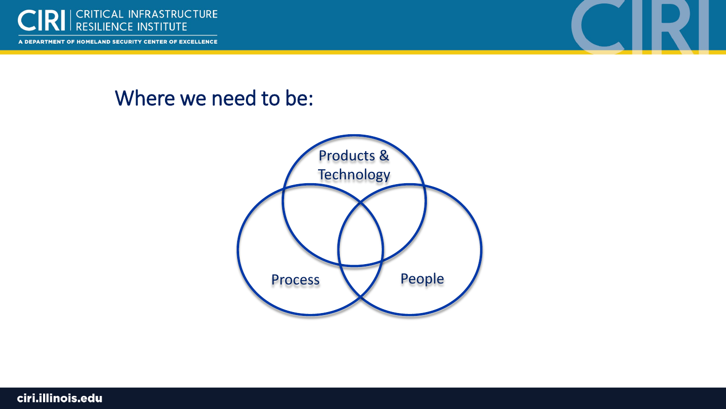

#### Where we need to be:



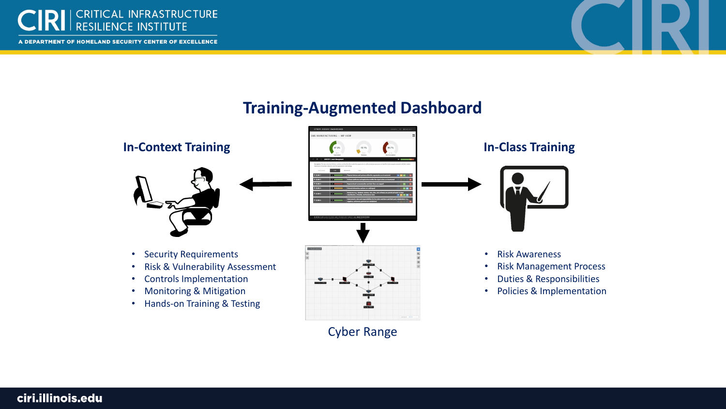



#### **Training-Augmented Dashboard**

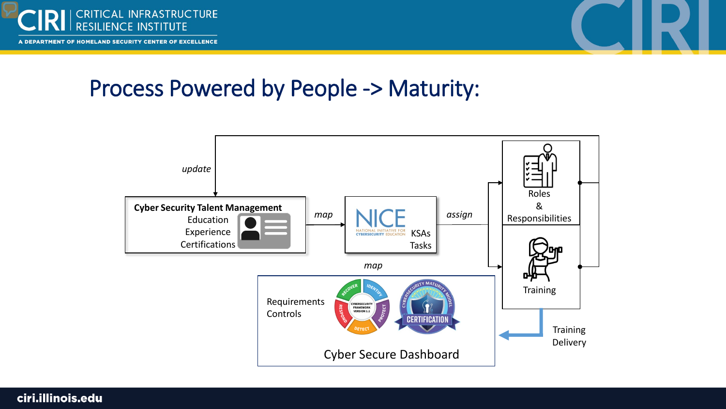



### Process Powered by People -> Maturity: